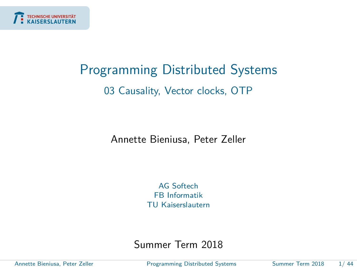<span id="page-0-0"></span>

# Programming Distributed Systems 03 Causality, Vector clocks, OTP

Annette Bieniusa, Peter Zeller

AG Softech FB Informatik TU Kaiserslautern

Summer Term 2018

Annette Bieniusa, Peter Zeller [Programming Distributed Systems](#page-52-0) Summer Term 2018 1/ 44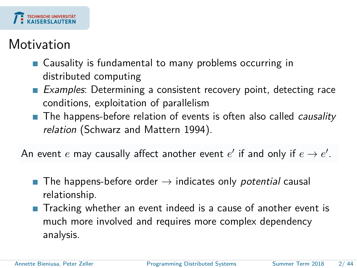

### **Motivation**

- Causality is fundamental to many problems occurring in distributed computing
- Examples: Determining a consistent recovery point, detecting race conditions, exploitation of parallelism
- The happens-before relation of events is often also called *causality* relation (Schwarz and Mattern 1994).

An event  $e$  may causally affect another event  $e'$  if and only if  $e \to e'.$ 

- **The happens-before order**  $\rightarrow$  indicates only *potential* causal relationship.
- Tracking whether an event indeed is a cause of another event is much more involved and requires more complex dependency analysis.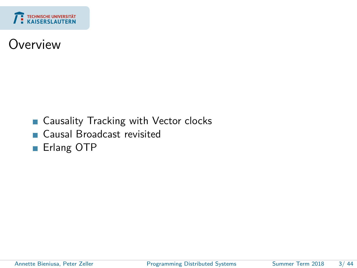

#### Overview

- Causality Tracking with Vector clocks m.
- Causal Broadcast revisited  $\overline{\phantom{a}}$
- Erlang OTP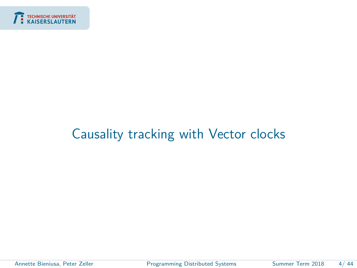<span id="page-3-0"></span>

### [Causality tracking with Vector clocks](#page-3-0)

Annette Bieniusa, Peter Zeller [Programming Distributed Systems](#page-0-0) Summer Term 2018 4/44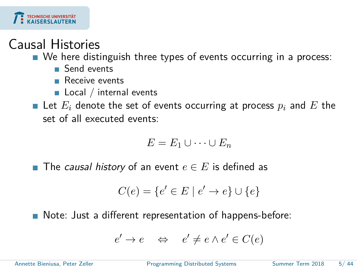

#### Causal Histories

■ We here distinguish three types of events occurring in a process:

- Send events
- **Receive events**
- $\blacksquare$  Local / internal events

**E** Let  $E_i$  denote the set of events occurring at process  $p_i$  and  $E$  the set of all executed events:

$$
E=E_1\cup\cdots\cup E_n
$$

■ The *causal history* of an event  $e \in E$  is defined as

$$
C(e) = \{e' \in E \mid e' \to e\} \cup \{e\}
$$

■ Note: Just a different representation of happens-before:

$$
e' \to e \quad \Leftrightarrow \quad e' \neq e \land e' \in C(e)
$$

Annette Bieniusa, Peter Zeller [Programming Distributed Systems](#page-0-0) Summer Term 2018 5/ 44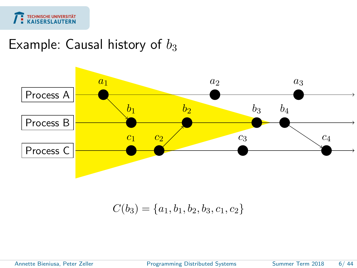

#### Example: Causal history of  $b_3$



 $C(b_3) = \{a_1, b_1, b_2, b_3, c_1, c_2\}$ 

Annette Bieniusa, Peter Zeller [Programming Distributed Systems](#page-0-0) Summer Term 2018 6/ 44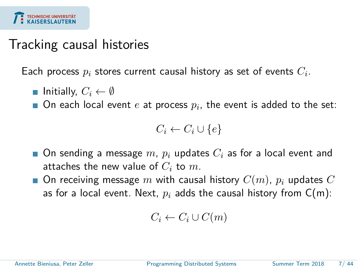

#### Tracking causal histories

Each process  $p_i$  stores current causal history as set of events  $C_i.$ 

- **I** Initially,  $C_i \leftarrow \emptyset$
- On each local event  $e$  at process  $p_i$ , the event is added to the set:

$$
C_i \leftarrow C_i \cup \{e\}
$$

- On sending a message *m*,  $p_i$  updates  $C_i$  as for a local event and attaches the new value of *C<sup>i</sup>* to *m*.
- $\blacksquare$  On receiving message *m* with causal history  $C(m)$ ,  $p_i$  updates  $C$ as for a local event. Next,  $p_i$  adds the causal history from  $C(m)$ :

$$
C_i \leftarrow C_i \cup C(m)
$$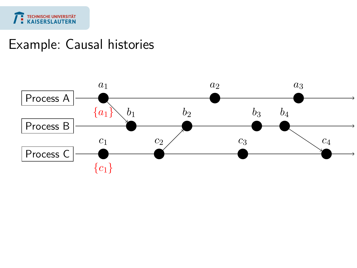

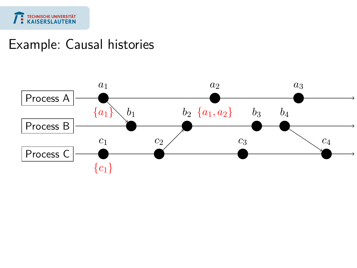

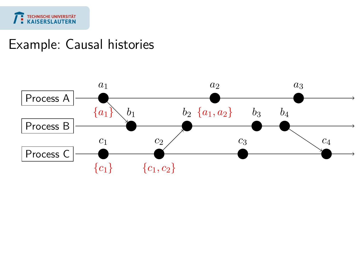

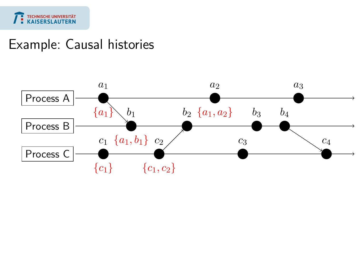

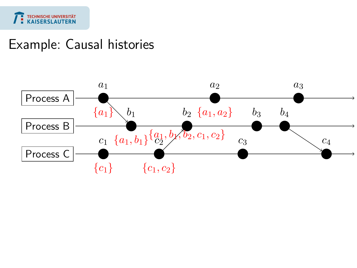

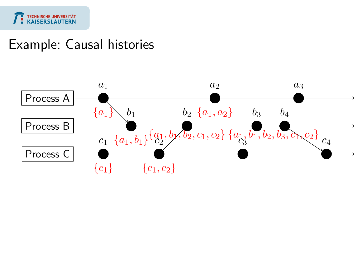

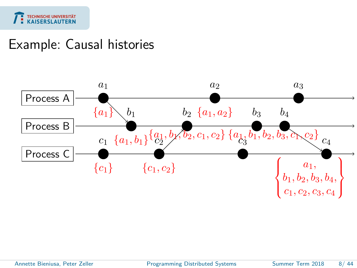



Annette Bieniusa, Peter Zeller [Programming Distributed Systems](#page-0-0) Summer Term 2018 8/ 44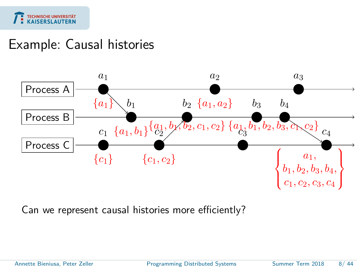



Can we represent causal histories more efficiently?

Annette Bieniusa, Peter Zeller [Programming Distributed Systems](#page-0-0) Summer Term 2018 8/ 44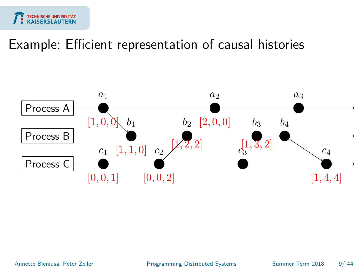

#### Example: Efficient representation of causal histories



Annette Bieniusa, Peter Zeller [Programming Distributed Systems](#page-0-0) Summer Term 2018 9/ 44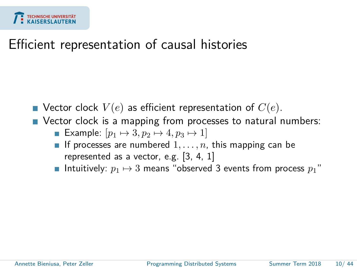

#### Efficient representation of causal histories

- $\blacksquare$  Vector clock  $V(e)$  as efficient representation of  $C(e)$ .
- Vector clock is a mapping from processes to natural numbers:
	- Example:  $[p_1 \mapsto 3, p_2 \mapsto 4, p_3 \mapsto 1]$
	- If processes are numbered  $1, \ldots, n$ , this mapping can be represented as a vector, e.g. [3, 4, 1]
	- **Intuitively:**  $p_1 \mapsto 3$  means "observed 3 events from process  $p_1$ "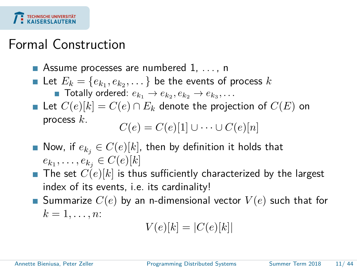## Formal Construction

- Assume processes are numbered 1, ..., n
- Let  $E_k = \{e_{k_1}, e_{k_2}, \dots\}$  be the events of process  $k$

Totally ordered:  $e_{k_1} \rightarrow e_{k_2}, e_{k_2} \rightarrow e_{k_3}, \ldots$ 

- Let  $C(e)[k] = C(e) \cap E_k$  denote the projection of  $C(E)$  on process *k*.  $C(e) = C(e)[1] \cup \cdots \cup C(e)[n]$
- Now, if  $e_{k_j} \in C(e)[k]$ , then by definition it holds that  $e_{k_1}, \ldots, e_{k_j} \in C(e)[k]$
- $\blacksquare$  The set  $C(e)[k]$  is thus sufficiently characterized by the largest index of its events, i.e. its cardinality!
- **E** Summarize  $C(e)$  by an n-dimensional vector  $V(e)$  such that for  $k = 1, \ldots, n$ :

$$
V(e)[k] = |C(e)[k]|
$$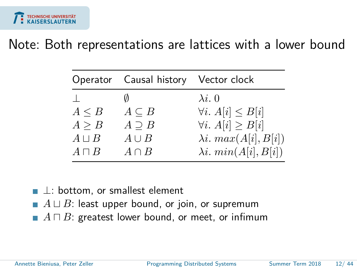

#### Note: Both representations are lattices with a lower bound

|              | Operator Causal history Vector clock |                                |
|--------------|--------------------------------------|--------------------------------|
|              | N                                    | $\lambda i. 0$                 |
| $A \leq B$   | $A \subseteq B$                      | $\forall i. A[i] \leq B[i]$    |
| A > B        | $A \supset B$                        | $\forall i. A[i] \geq B[i]$    |
| $A \sqcup B$ | $A \cup B$                           | $\lambda i. max(A[i], B[i])$   |
| $A \sqcap B$ | $A \cap B$                           | $\lambda i. \ min(A[i], B[i])$ |
|              |                                      |                                |

- $\perp$ : bottom, or smallest element
- $A \sqcup B$ : least upper bound, or join, or supremum  $\mathcal{C}^{\mathcal{A}}$
- $A \sqcap B$ : greatest lower bound, or meet, or infimum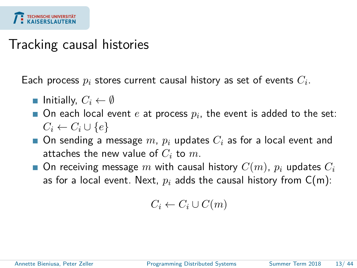### Tracking causal histories

Each process  $p_i$  stores current causal history as set of events  $C_i.$ 

- Initially,  $C_i \leftarrow \emptyset$
- On each local event  $e$  at process  $p_i$ , the event is added to the set:  $C_i \leftarrow C_i \cup \{e\}$
- **On sending a message**  $m$ ,  $p_i$  updates  $C_i$  as for a local event and attaches the new value of *C<sup>i</sup>* to *m*.
- $\blacksquare$  On receiving message *m* with causal history  $C(m)$ ,  $p_i$  updates  $C_i$ as for a local event. Next,  $p_i$  adds the causal history from  $C(m)$ :

$$
C_i \leftarrow C_i \cup C(m)
$$

Annette Bieniusa, Peter Zeller **[Programming Distributed Systems](#page-0-0)** Summer Term 2018 13/44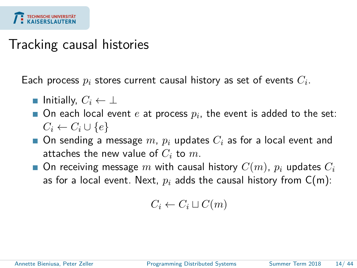### Tracking causal histories

Each process  $p_i$  stores current causal history as set of events  $C_i.$ 

- $\blacksquare$  Initially,  $C_i \leftarrow \bot$
- On each local event  $e$  at process  $p_i$ , the event is added to the set:  $C_i \leftarrow C_i \cup \{e\}$
- **On sending a message**  $m$ ,  $p_i$  updates  $C_i$  as for a local event and attaches the new value of *C<sup>i</sup>* to *m*.
- $\blacksquare$  On receiving message *m* with causal history  $C(m)$ ,  $p_i$  updates  $C_i$ as for a local event. Next,  $p_i$  adds the causal history from  $C(m)$ :

$$
C_i \leftarrow C_i \sqcup C(m)
$$

Annette Bieniusa, Peter Zeller **[Programming Distributed Systems](#page-0-0)** Summer Term 2018 14/44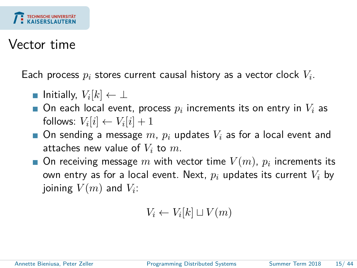

#### Vector time

Each process  $p_i$  stores current causal history as a vector clock  $V_i.$ 

- Initially,  $V_i[k] \leftarrow \bot$
- On each local event, process  $p_i$  increments its on entry in  $V_i$  as follows:  $V_i[i] \leftarrow V_i[i] + 1$
- On sending a message *m*,  $p_i$  updates  $V_i$  as for a local event and attaches new value of *V<sup>i</sup>* to *m*.
- On receiving message  $m$  with vector time  $V(m)$ ,  $p_i$  increments its own entry as for a local event. Next, *p<sup>i</sup>* updates its current *V<sup>i</sup>* by joining  $V(m)$  and  $V_i$ :

$$
V_i \leftarrow V_i[k] \sqcup V(m)
$$

Annette Bieniusa, Peter Zeller **[Programming Distributed Systems](#page-0-0)** Summer Term 2018 15/44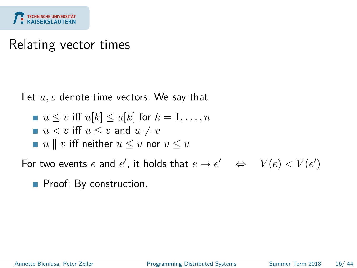

#### Relating vector times

Let  $u, v$  denote time vectors. We say that

$$
u \leq v \text{ iff } u[k] \leq u[k] \text{ for } k = 1, \dots, n
$$

$$
u < v \text{ iff } u \le v \text{ and } u \ne v
$$

$$
\blacksquare u \parallel v \text{ iff neither } u \leq v \text{ nor } v \leq u
$$

For two events *e* and *e'*, it holds that  $e \to e' \iff V(e) < V(e')$ 

Proof: By construction.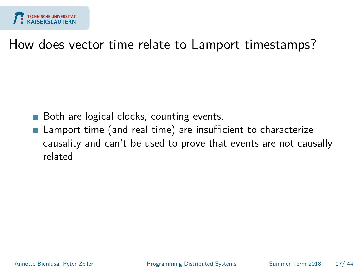

#### How does vector time relate to Lamport timestamps?

- Both are logical clocks, counting events.
- Lamport time (and real time) are insufficient to characterize causality and can't be used to prove that events are not causally related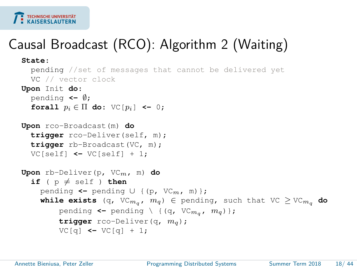

# Causal Broadcast (RCO): Algorithm 2 (Waiting)

```
State:
  pending //set of messages that cannot be delivered yet
  VC // vector clock
Upon Init do:
  pending <- ∅;
  forall p_i \in \Pi do: \nabla \mathbb{C} [p_i] <- 0;
Upon rco-Broadcast(m) do
  trigger rco-Deliver(self, m);
  trigger rb-Broadcast(VC, m);
  VC[self] <- VC[self] + 1;
Upon rb-Deliver(p, VCm, m) do
  if ( p \neq self ) then
     pending <- pending ∪ {(p, VCm, m)};
     while exists (q, VC<sub>m<sub>q</sub>, m<sub>q</sub>) \in pending, such that VC \geq VC<sub>m<sub>a</sub></sub> do</sub>
          pending \leq pending \ {(q, VC<sub>m<sub>a</sub>, m<sub>q</sub>)};</sub>
          trigger rco-Deliver(q, mq);
          VC[q] <- VC[q] + 1;
```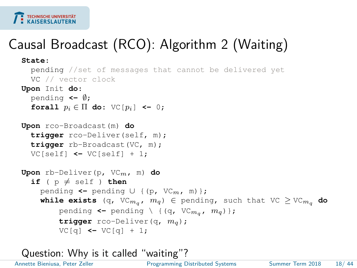

# Causal Broadcast (RCO): Algorithm 2 (Waiting)

```
State:
  pending //set of messages that cannot be delivered yet
  VC // vector clock
Upon Init do:
  pending <- ∅;
  forall p_i \in \Pi do: \nabla \mathbb{C} [p_i] <- 0;
Upon rco-Broadcast(m) do
  trigger rco-Deliver(self, m);
  trigger rb-Broadcast(VC, m);
  VC[self] <- VC[self] + 1;
Upon rb-Deliver(p, VCm, m) do
  if ( p \neq self ) then
     pending <- pending ∪ {(p, VCm, m)};
     while exists (q, VC<sub>m<sub>a</sub>, m_q) \in pending, such that VC \geq VC<sub>m<sub>q</sub></sub> do</sub>
          pending \leq pending \ {(q, VC<sub>m<sub>a</sub>, m<sub>q</sub>)};</sub>
          trigger rco-Deliver(q, mq);
          VCl(a) \leftarrow VCl(a) + 1:
```

```
Question: Why is it called "waiting"?
```
Annette Bieniusa, Peter Zeller [Programming Distributed Systems](#page-0-0) Summer Term 2018 18/44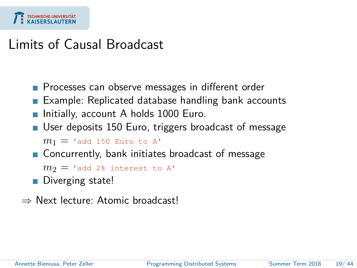

#### Limits of Causal Broadcast

- **Processes can observe messages in different order**
- **Example: Replicated database handling bank accounts**
- **Initially, account A holds 1000 Euro.**
- User deposits 150 Euro, triggers broadcast of message

```
m_1 = 'add 150 Euro to A'
```
■ Concurrently, bank initiates broadcast of message

```
m_2 = 'add 2% interest to A'
```
- Diverging state!
- ⇒ Next lecture: Atomic broadcast!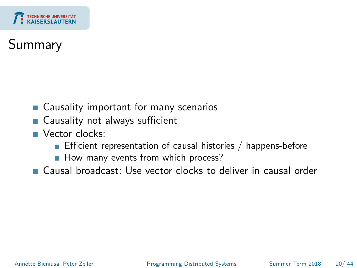

# Summary

- $\mathcal{L}_{\mathcal{A}}$ Causality important for many scenarios
- Causality not always sufficient  $\mathcal{L}^{\mathcal{A}}$
- Vector clocks:
	- **Efficient representation of causal histories / happens-before**
	- How many events from which process?
- Causal broadcast: Use vector clocks to deliver in causal order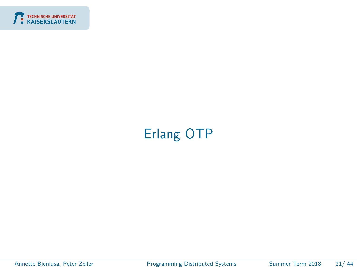<span id="page-28-0"></span>

# [Erlang OTP](#page-28-0)

÷

Annette Bieniusa, Peter Zeller **[Programming Distributed Systems](#page-0-0)** Summer Term 2018 21/44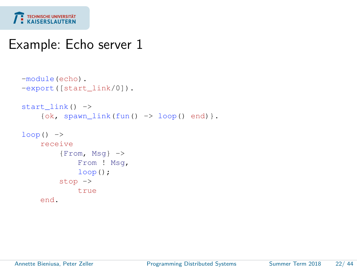

#### Example: Echo server 1

```
-module(echo).
-export([start_link/0]).
start_link() ->
    \{ok, spam\_link(fun() \rightarrow loop() end)\}.loop() ->
    receive
         {From, Msq} \rightarrowFrom ! Msg,
             loop();
         stop ->
             true
    end.
```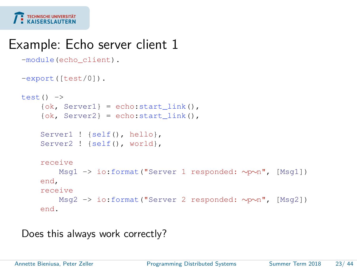

#### Example: Echo server client 1

```
-module(echo_client).
-export([test/0]).
test() ->
    \{ok, Server1\} = echo: start\_link().
    \{ok, Server2\} = echo: start\_link()Server1 ! {self(), hello}.
    Server2 ! {self(), world},
    receive
        Msg1 -> io:format("Server 1 responded: ∼p∼n", [Msg1])
    end,
    receive
        Msg2 -> io:format("Server 2 responded: ∼p∼n", [Msg2])
    end.
```
Does this always work correctly?

Annette Bieniusa, Peter Zeller [Programming Distributed Systems](#page-0-0) Summer Term 2018 23/ 44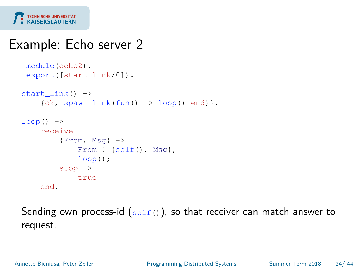

#### Example: Echo server 2

```
-module(echo2).
-export([start_link/0]).
start link() ->
    \{ok, spawn\_link(fun() \rightarrow loop() end)\}.loop() ->
    receive
         {From, Msq} \rightarrowFrom ! {self(), Msq},
             loop();
         stop ->
             true
    end.
```
Sending own process-id  $(s_{\text{ell}(t)})$ , so that receiver can match answer to request.

Annette Bieniusa, Peter Zeller [Programming Distributed Systems](#page-0-0) Summer Term 2018 24/ 44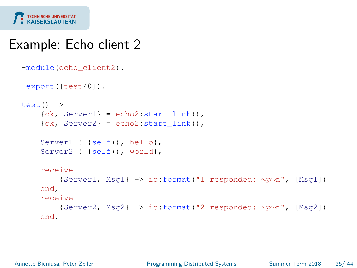

#### Example: Echo client 2

```
-module(echo_client2).
-export([test/0]).
test() ->
    \{ok, Server1\} = echo2: start link(),
    \{ok, Server2\} = echo2:start link(),
    Server1 ! {self(), hello},
    Server2 ! {self(), world},
    receive
        {Server1, Msg1} -> io:format("1 responded: ∼p∼n", [Msg1])
    end,
    receive
        {Server2, Msg2} -> io:format("2 responded: ∼p∼n", [Msg2])
    end.
```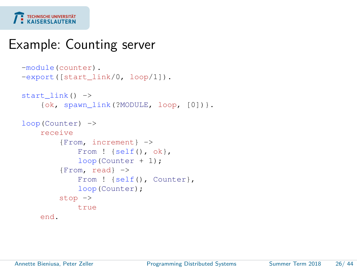

### Example: Counting server

```
-module(counter).
-export([start_link/0, loop/1]).
start link() ->
    {ok, spawn_link(?MODULE, loop, [0])}.
loop(Counter) ->
    receive
        {From, increment} ->
            From ! {self(), ok},
            loop(Counter + 1);
        {From, read} ->
            From ! {self(), Counter},
            loop(Counter);
        stop \rightarrowtrue
    end.
```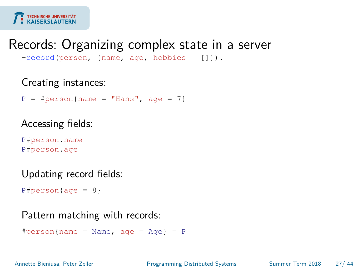

#### Records: Organizing complex state in a server

-record(person, {name, age, hobbies = []}).

#### Creating instances:

 $P = #person(name = "Hans", aqe = 7)$ 

#### Accessing fields:

P#person.name P#person.age

#### Updating record fields:

```
P#person \{ aq e = 8 \}
```
#### Pattern matching with records:

```
\#person{name} = Name, age = Age} = P
```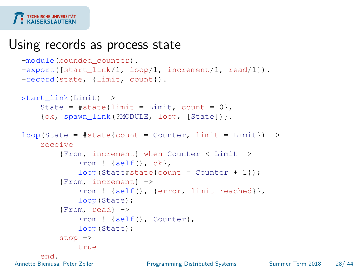#### TECHNISCHE UNIVERSITÄT

#### Using records as process state

```
-module(bounded counter).
 -export([start_link/1, loop/1, increment/1, read/1]).
 -record(state, {limit, count}).
 start_link(Limit) ->
      State = #state{limit} = Limit, count = 0.
      {ok, spawn_link(?MODULE, loop, [State])}.
 loop(State = \#state{count = Counter, limit = Limit}) \rightarrowreceive
          {From, increment} when Counter < Limit ->
              From ! {self(), ok},
              loop(State#state{count = Counter + 1});
          {From, increment} ->
              From ! {self(), {error, limit_reached}},
              loop(State);
          {From, read} ->
              From ! {self(), Counter},
              loop(State);
          stop ->
              true
end.<br>Annette Bieniusa, Peter Zeller
                              Programming Distributed Systems Summer Term 2018 28/ 44
```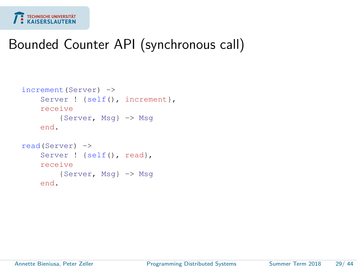

### Bounded Counter API (synchronous call)

```
increment(Server) ->
    Server ! {self(), increment},
    receive
        {Server, Msg} -> Msg
    end.
read(Server) ->
    Server ! {self(), read},
   receive
        {Server, Msg} -> Msg
   end.
```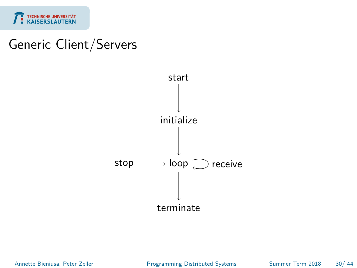

#### Generic Client/Servers



Annette Bieniusa, Peter Zeller [Programming Distributed Systems](#page-0-0) Summer Term 2018 30/44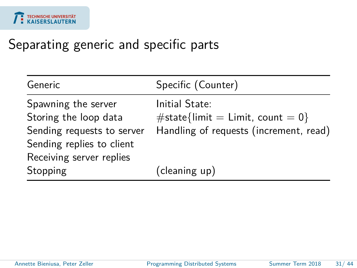### Separating generic and specific parts

| Generic                    | Specific (Counter)                     |
|----------------------------|----------------------------------------|
| Spawning the server        | Initial State:                         |
| Storing the loop data      | #state{limit = Limit, count = 0}       |
| Sending requests to server | Handling of requests (increment, read) |
| Sending replies to client  |                                        |
| Receiving server replies   |                                        |
| Stopping                   | (cleaning up)                          |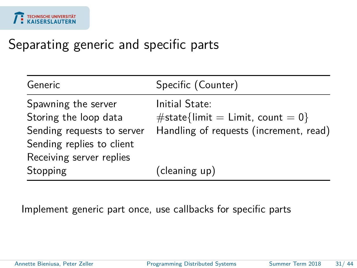### Separating generic and specific parts

| Generic                    | Specific (Counter)                     |
|----------------------------|----------------------------------------|
| Spawning the server        | Initial State:                         |
| Storing the loop data      | $\#$ state{limit = Limit, count = 0}   |
| Sending requests to server | Handling of requests (increment, read) |
| Sending replies to client  |                                        |
| Receiving server replies   |                                        |
| Stopping                   | (cleaning up)                          |

Implement generic part once, use callbacks for specific parts

Annette Bieniusa, Peter Zeller [Programming Distributed Systems](#page-0-0) Summer Term 2018 31/44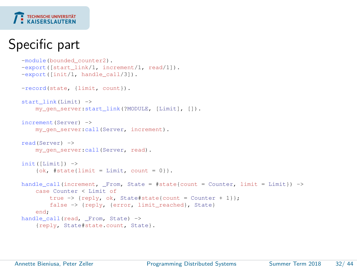#### **TECHNISCHE UNIVERSITÄT KAISERSI AUTERN**

## Specific part

```
-module(bounded_counter2).
-export([start_link/1, increment/1, read/1]).
-export([init/1, handle_call/3]).
-record(state, {limit, count}).
start_link(Limit) ->
    my gen server: start link(?MODULE, [Limit], []).
increment(Server) ->
    my_gen_server:call(Server, increment).
read(Server) ->
   my gen server:call(Server, read).
init([Limit]) ->
    \{ok, #state[limit = Limit, count = 0]\}.handle_call(increment, _From, State = #state{count = Counter, limit = Limit}) ->
    case Counter < Limit of
        true \Rightarrow {reply, ok, State#state{count = Counter + 1}};
        false -> {reply, {error, limit_reached}, State}
    end;
handle call(read, From, State) ->
    {reply, State#state.count, State}.
```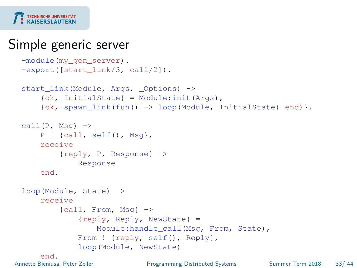

#### Simple generic server

```
-module(my_gen_server).
 -export([start_link/3, call/2]).
 start_link(Module, Args, _Options) ->
      {ok, InitialState} = Module:init(Args),
      \{ok, spawn link(fun() -> loop(Module, InitialState) end)\}.call(P, Msq) ->
     P ! {call, self(), Msq},
      receive
          {reply, P, Response} ->
              Response
      end.
 loop(Module, State) ->
      receive
          {call, From, Msg} ->
               {reply, Reply, NewState} =
                   Module: handle call(Msg, From, State),
              From ! {reply, self(), Reply},
              loop(Module, NewState)
end.<br>Annette Bieniusa, Peter Zeller
                              Programming Distributed Systems Summer Term 2018 33/ 44
```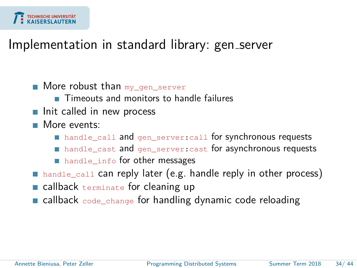

#### Implementation in standard library: gen server

- $\blacksquare$  More robust than  $my\_gen\_server$ 
	- **Timeouts and monitors to handle failures**
- $\blacksquare$  Init called in new process
- **More** events:
	- handle\_call and gen\_server:call for synchronous requests
	- handle\_cast and gen\_server: cast for asynchronous requests
	- handle\_info for other messages
- handle\_call can reply later (e.g. handle reply in other process)
- callback terminate for cleaning up
- **Exallback** code change for handling dynamic code reloading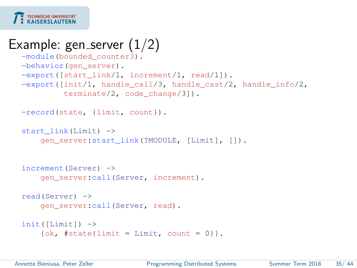

# Example: gen server  $(1/2)$

```
-module(bounded_counter3).
-behavior (gen server).
-export([start_link/1, increment/1, read/1]).
-export([init/1, handle call/3, handle cast/2, handle info/2,
         terminate/2, code_change/3]).
```

```
-record(state, {limit, count}).
```

```
start_link(Limit) ->
    gen_server:start_link(?MODULE, [Limit], []).
```

```
increment(Server) ->
    gen server:call(Server, increment).
```

```
read(Server) ->
   gen_server:call(Server, read).
```

```
init([Limit]) ->
    \{ok, #state\{limit = Limit, count = 0\}\}.
```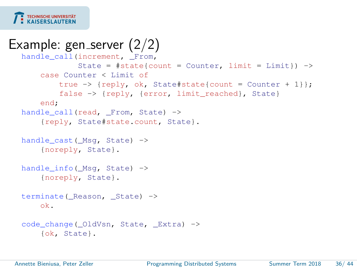

# Example: gen server  $(2/2)$

```
handle_call(increment, From,
            State = #state{count} = Counter, limit = Limit}) ->
    case Counter < Limit of
        true \rightarrow {reply, ok, State#state{count = Counter + 1}};
        false -> {reply, {error, limit_reached}, State}
    end;
handle call(read, _From, State) ->
    {reply, State#state.count, State}.
handle cast( Msg, State) ->
    {noreply, State}.
handle_info(_Msg, State) ->
    {noreply, State}.
terminate(_Reason, _State) ->
    ok.
code change( OldVsn, State, Extra) ->
    {ok, State}.
```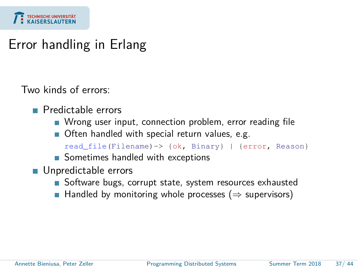

#### Error handling in Erlang

Two kinds of errors:

- **Predictable errors** 
	- Wrong user input, connection problem, error reading file
	- Often handled with special return values, e.g.

```
read_file(Filename)-> {ok, Binary} | {error, Reason}
```
- Sometimes handled with exceptions
- **Unpredictable errors** 
	- Software bugs, corrupt state, system resources exhausted
	- Handled by monitoring whole processes ( $\Rightarrow$  supervisors)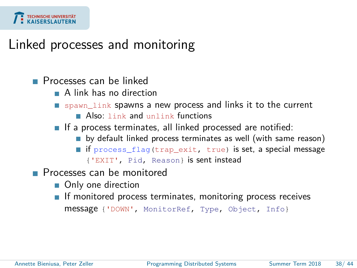

#### Linked processes and monitoring

#### **Processes can be linked**

- A link has no direction
- spawn\_link spawns a new process and links it to the current
	- Also: link and unlink functions
- If a process terminates, all linked processed are notified:
	- by default linked process terminates as well (with same reason)
	- if process\_flag(trap\_exit, true) is set, a special message {'EXIT', Pid, Reason} is sent instead
- **Processes can be monitored** 
	- Only one direction
	- $\blacksquare$  If monitored process terminates, monitoring process receives

```
message {'DOWN', MonitorRef, Type, Object, Info}
```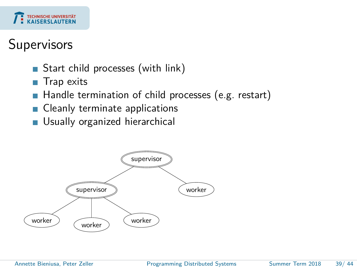

#### Supervisors

- Start child processes (with link)  $\overline{\phantom{a}}$
- Trap exits
- Handle termination of child processes (e.g. restart)
- Cleanly terminate applications
- Usually organized hierarchical П

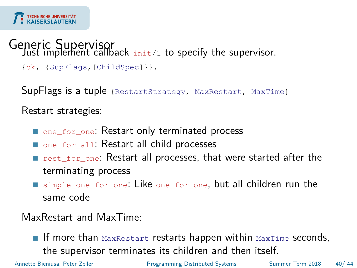# Generic Supervisor<br>Just implement callback init/1 to specify the supervisor.

```
{ok, {SupFlags,[ChildSpec]}}.
```
SupFlags is a tuple {RestartStrategy, MaxRestart, MaxTime}

Restart strategies:

- one for one: Restart only terminated process
- one for all: Restart all child processes
- **F** rest\_for\_one: Restart all processes, that were started after the terminating process
- simple\_one\_for\_one: Like one\_for\_one, but all children run the same code

MaxRestart and MaxTime:

If more than  $MaxRestart$  restarts happen within  $MaxTime$  seconds, the supervisor terminates its children and then itself.

Annette Bieniusa, Peter Zeller [Programming Distributed Systems](#page-0-0) Summer Term 2018 40/ 44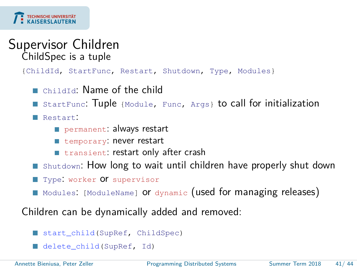

#### Supervisor Children ChildSpec is a tuple

{ChildId, StartFunc, Restart, Shutdown, Type, Modules}

- ChildId: Name of the child
- StartFunc: Tuple {Module, Func, Args} to call for initialization
- Restart:
	- permanent: always restart
	- **temporary: never restart**
	- **transient: restart only after crash**
- Shutdown: How long to wait until children have properly shut down
- Type: worker Of supervisor
- Modules: [ModuleName] or dynamic (used for managing releases)

Children can be dynamically added and removed:

- start\_child(SupRef, ChildSpec)
- delete\_child(SupRef, Id)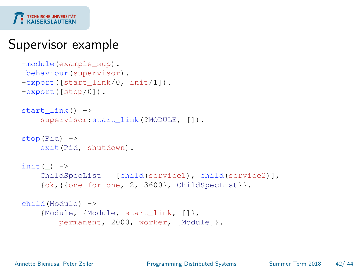

### Supervisor example

```
-module(example_sup).
-behaviour(supervisor).
-export([start_link/0, init/1]).
-export([stop/0]).
start link() ->
    supervisor: start_link(?MODULE, []).
stop(Pid) ->
   exit(Pid, shutdown).
init() ->
   ChildSpecList = [child(service1), child(service2)],
    {ok,{{one_for_one, 2, 3600}, ChildSpecList}}.
child(Module) ->
    {Module, {Module, start_link, []},
        permanent, 2000, worker, [Module]}.
```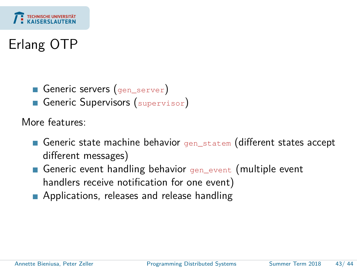

# Erlang OTP

- Generic servers (gen\_server)
- Generic Supervisors (supervisor)

More features:

- Generic state machine behavior gen statem (different states accept different messages)
- Generic event handling behavior gen\_event (multiple event handlers receive notification for one event)
- **Applications, releases and release handling**